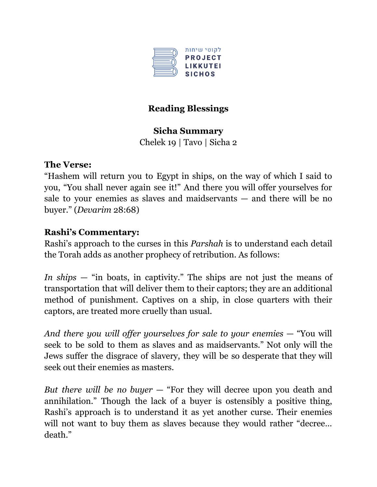

# **Reading Blessings**

## **Sicha Summary**

Chelek 19 | Tavo | Sicha 2

# **The Verse:**

"Hashem will return you to Egypt in ships, on the way of which I said to you, "You shall never again see it!" And there you will offer yourselves for sale to your enemies as slaves and maidservants — and there will be no buyer." (*Devarim* 28:68)

## **Rashi's Commentary:**

Rashi's approach to the curses in this *Parshah* is to understand each detail the Torah adds as another prophecy of retribution. As follows:

*In ships* — "in boats, in captivity." The ships are not just the means of transportation that will deliver them to their captors; they are an additional method of punishment. Captives on a ship, in close quarters with their captors, are treated more cruelly than usual.

*And there you will of er yourselves for sale to your enemies* — "You will seek to be sold to them as slaves and as maidservants." Not only will the Jews suffer the disgrace of slavery, they will be so desperate that they will seek out their enemies as masters.

*But there will be no buyer* — "For they will decree upon you death and annihilation." Though the lack of a buyer is ostensibly a positive thing, Rashi's approach is to understand it as yet another curse. Their enemies will not want to buy them as slaves because they would rather "decree... death."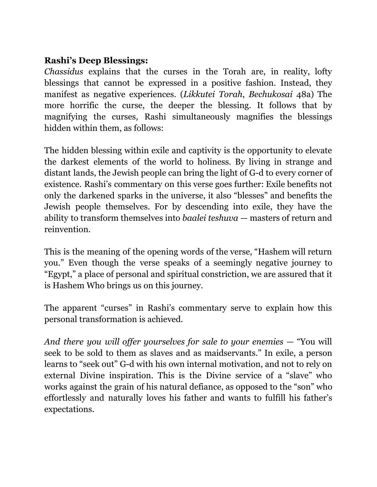### **Rashi's Deep Blessings:**

*Chassidus* explains that the curses in the Torah are, in reality, lofty blessings that cannot be expressed in a positive fashion. Instead, they manifest as negative experiences. (*Likkutei Torah*, *Bechukosai* 48a) The more horrific the curse, the deeper the blessing. It follows that by magnifying the curses, Rashi simultaneously magnifies the blessings hidden within them, as follows:

The hidden blessing within exile and captivity is the opportunity to elevate the darkest elements of the world to holiness. By living in strange and distant lands, the Jewish people can bring the light of G-d to every corner of existence. Rashi's commentary on this verse goes further: Exile benefits not only the darkened sparks in the universe, it also "blesses" and benefits the Jewish people themselves. For by descending into exile, they have the ability to transform themselves into *baalei teshuva* — masters of return and reinvention.

This is the meaning of the opening words of the verse, "Hashem will return you." Even though the verse speaks of a seemingly negative journey to "Egypt," a place of personal and spiritual constriction, we are assured that it is Hashem Who brings us on this journey.

The apparent "curses" in Rashi's commentary serve to explain how this personal transformation is achieved.

*And there you will of er yourselves for sale to your enemies* — "You will seek to be sold to them as slaves and as maidservants." In exile, a person learns to "seek out" G-d with his own internal motivation, and not to rely on external Divine inspiration. This is the Divine service of a "slave" who works against the grain of his natural defiance, as opposed to the "son" who effortlessly and naturally loves his father and wants to fulfill his father's expectations.